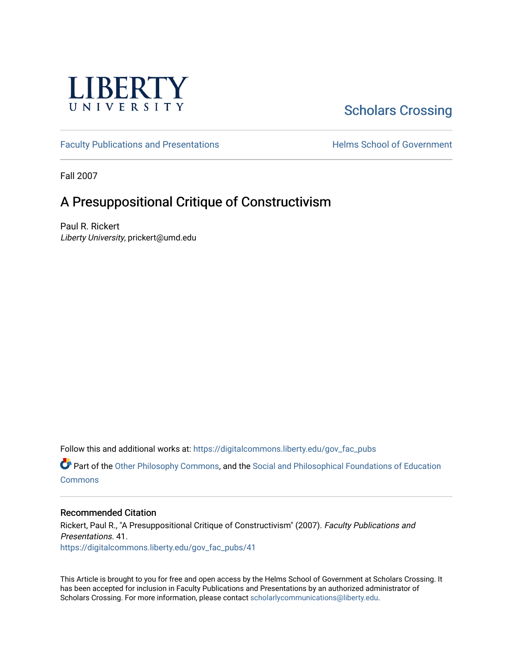

# [Scholars Crossing](https://digitalcommons.liberty.edu/)

[Faculty Publications and Presentations](https://digitalcommons.liberty.edu/gov_fac_pubs) **Exercise School of Government** 

Fall 2007

# A Presuppositional Critique of Constructivism

Paul R. Rickert Liberty University, prickert@umd.edu

Follow this and additional works at: [https://digitalcommons.liberty.edu/gov\\_fac\\_pubs](https://digitalcommons.liberty.edu/gov_fac_pubs?utm_source=digitalcommons.liberty.edu%2Fgov_fac_pubs%2F41&utm_medium=PDF&utm_campaign=PDFCoverPages)

Part of the [Other Philosophy Commons,](http://network.bepress.com/hgg/discipline/537?utm_source=digitalcommons.liberty.edu%2Fgov_fac_pubs%2F41&utm_medium=PDF&utm_campaign=PDFCoverPages) and the [Social and Philosophical Foundations of Education](http://network.bepress.com/hgg/discipline/799?utm_source=digitalcommons.liberty.edu%2Fgov_fac_pubs%2F41&utm_medium=PDF&utm_campaign=PDFCoverPages)  **[Commons](http://network.bepress.com/hgg/discipline/799?utm_source=digitalcommons.liberty.edu%2Fgov_fac_pubs%2F41&utm_medium=PDF&utm_campaign=PDFCoverPages)** 

#### Recommended Citation

Rickert, Paul R., "A Presuppositional Critique of Constructivism" (2007). Faculty Publications and Presentations. 41. [https://digitalcommons.liberty.edu/gov\\_fac\\_pubs/41](https://digitalcommons.liberty.edu/gov_fac_pubs/41?utm_source=digitalcommons.liberty.edu%2Fgov_fac_pubs%2F41&utm_medium=PDF&utm_campaign=PDFCoverPages) 

This Article is brought to you for free and open access by the Helms School of Government at Scholars Crossing. It has been accepted for inclusion in Faculty Publications and Presentations by an authorized administrator of Scholars Crossing. For more information, please contact [scholarlycommunications@liberty.edu.](mailto:scholarlycommunications@liberty.edu)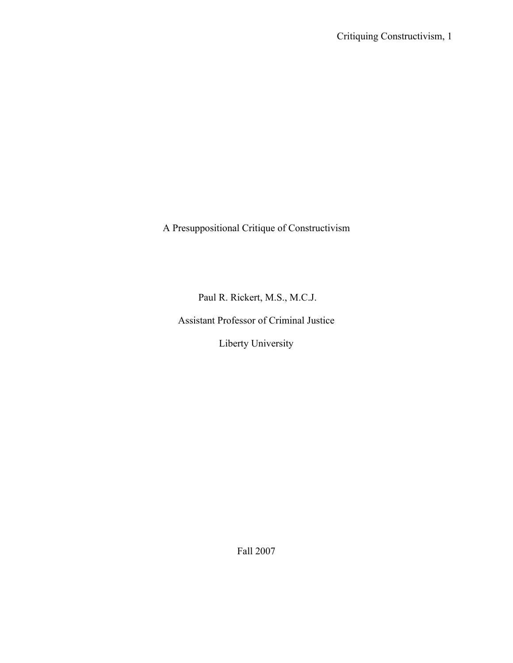A Presuppositional Critique of Constructivism

Paul R. Rickert, M.S., M.C.J.

Assistant Professor of Criminal Justice

Liberty University

Fall 2007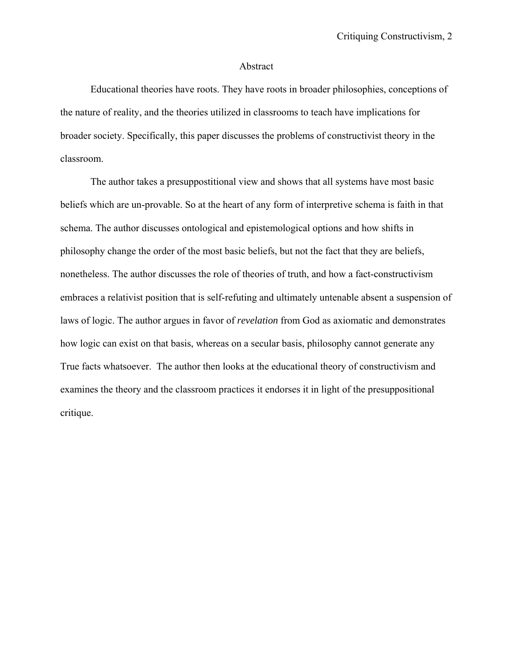#### Abstract

Educational theories have roots. They have roots in broader philosophies, conceptions of the nature of reality, and the theories utilized in classrooms to teach have implications for broader society. Specifically, this paper discusses the problems of constructivist theory in the classroom.

The author takes a presuppostitional view and shows that all systems have most basic beliefs which are un-provable. So at the heart of any form of interpretive schema is faith in that schema. The author discusses ontological and epistemological options and how shifts in philosophy change the order of the most basic beliefs, but not the fact that they are beliefs, nonetheless. The author discusses the role of theories of truth, and how a fact-constructivism embraces a relativist position that is self-refuting and ultimately untenable absent a suspension of laws of logic. The author argues in favor of *revelation* from God as axiomatic and demonstrates how logic can exist on that basis, whereas on a secular basis, philosophy cannot generate any True facts whatsoever. The author then looks at the educational theory of constructivism and examines the theory and the classroom practices it endorses it in light of the presuppositional critique.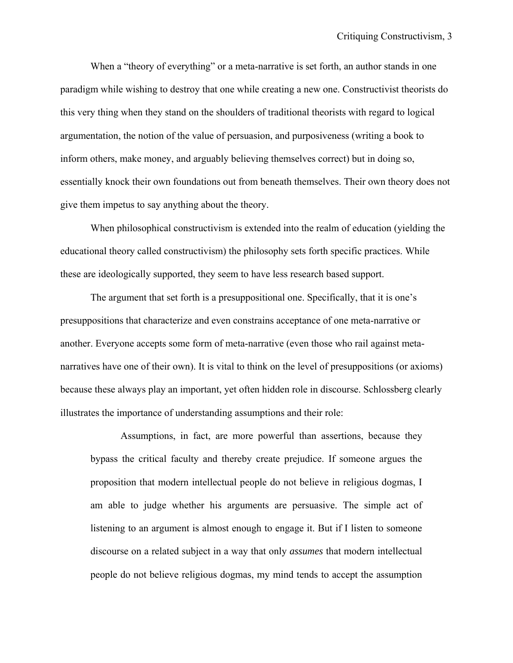When a "theory of everything" or a meta-narrative is set forth, an author stands in one paradigm while wishing to destroy that one while creating a new one. Constructivist theorists do this very thing when they stand on the shoulders of traditional theorists with regard to logical argumentation, the notion of the value of persuasion, and purposiveness (writing a book to inform others, make money, and arguably believing themselves correct) but in doing so, essentially knock their own foundations out from beneath themselves. Their own theory does not give them impetus to say anything about the theory.

When philosophical constructivism is extended into the realm of education (yielding the educational theory called constructivism) the philosophy sets forth specific practices. While these are ideologically supported, they seem to have less research based support.

The argument that set forth is a presuppositional one. Specifically, that it is one's presuppositions that characterize and even constrains acceptance of one meta-narrative or another. Everyone accepts some form of meta-narrative (even those who rail against metanarratives have one of their own). It is vital to think on the level of presuppositions (or axioms) because these always play an important, yet often hidden role in discourse. Schlossberg clearly illustrates the importance of understanding assumptions and their role:

Assumptions, in fact, are more powerful than assertions, because they bypass the critical faculty and thereby create prejudice. If someone argues the proposition that modern intellectual people do not believe in religious dogmas, I am able to judge whether his arguments are persuasive. The simple act of listening to an argument is almost enough to engage it. But if I listen to someone discourse on a related subject in a way that only *assumes* that modern intellectual people do not believe religious dogmas, my mind tends to accept the assumption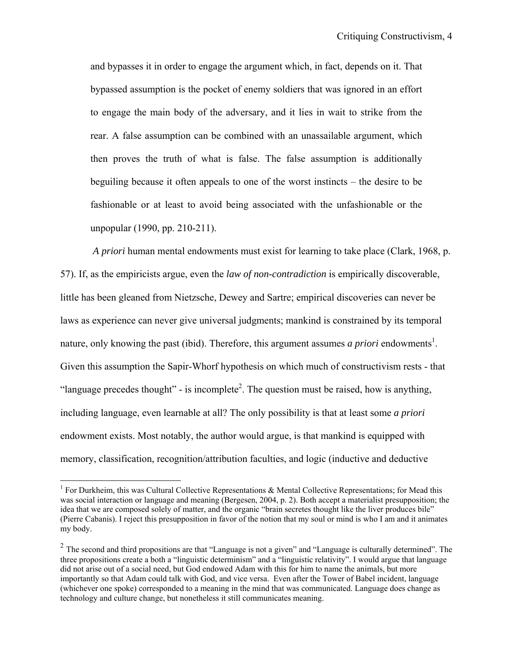and bypasses it in order to engage the argument which, in fact, depends on it. That bypassed assumption is the pocket of enemy soldiers that was ignored in an effort to engage the main body of the adversary, and it lies in wait to strike from the rear. A false assumption can be combined with an unassailable argument, which then proves the truth of what is false. The false assumption is additionally beguiling because it often appeals to one of the worst instincts – the desire to be fashionable or at least to avoid being associated with the unfashionable or the unpopular (1990, pp. 210-211).

*A priori* human mental endowments must exist for learning to take place (Clark, 1968, p. 57). If, as the empiricists argue, even the *law of non-contradiction* is empirically discoverable, little has been gleaned from Nietzsche, Dewey and Sartre; empirical discoveries can never be laws as experience can never give universal judgments; mankind is constrained by its temporal nature, only knowing the past (ibid). Therefore, this argument assumes *a priori* endowments<sup>1</sup>. Given this assumption the Sapir-Whorf hypothesis on which much of constructivism rests - that "language precedes thought" - is incomplete<sup>2</sup>. The question must be raised, how is anything, including language, even learnable at all? The only possibility is that at least some *a priori* endowment exists. Most notably, the author would argue, is that mankind is equipped with memory, classification, recognition/attribution faculties, and logic (inductive and deductive

1

<sup>&</sup>lt;sup>1</sup> For Durkheim, this was Cultural Collective Representations  $\&$  Mental Collective Representations; for Mead this was social interaction or language and meaning (Bergesen, 2004, p. 2). Both accept a materialist presupposition; the idea that we are composed solely of matter, and the organic "brain secretes thought like the liver produces bile" (Pierre Cabanis). I reject this presupposition in favor of the notion that my soul or mind is who I am and it animates my body.

<sup>&</sup>lt;sup>2</sup> The second and third propositions are that "Language is not a given" and "Language is culturally determined". The three propositions create a both a "linguistic determinism" and a "linguistic relativity". I would argue that language did not arise out of a social need, but God endowed Adam with this for him to name the animals, but more importantly so that Adam could talk with God, and vice versa. Even after the Tower of Babel incident, language (whichever one spoke) corresponded to a meaning in the mind that was communicated. Language does change as technology and culture change, but nonetheless it still communicates meaning.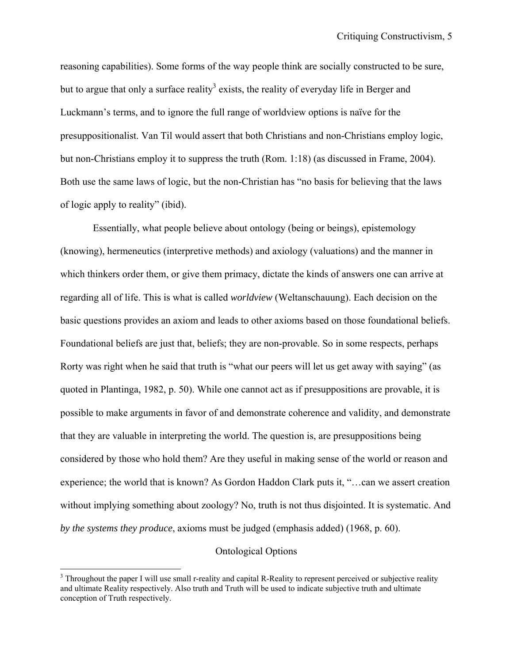reasoning capabilities). Some forms of the way people think are socially constructed to be sure, but to argue that only a surface reality<sup>3</sup> exists, the reality of everyday life in Berger and Luckmann's terms, and to ignore the full range of worldview options is naïve for the presuppositionalist. Van Til would assert that both Christians and non-Christians employ logic, but non-Christians employ it to suppress the truth (Rom. 1:18) (as discussed in Frame, 2004). Both use the same laws of logic, but the non-Christian has "no basis for believing that the laws of logic apply to reality" (ibid).

 Essentially, what people believe about ontology (being or beings), epistemology (knowing), hermeneutics (interpretive methods) and axiology (valuations) and the manner in which thinkers order them, or give them primacy, dictate the kinds of answers one can arrive at regarding all of life. This is what is called *worldview* (Weltanschauung). Each decision on the basic questions provides an axiom and leads to other axioms based on those foundational beliefs. Foundational beliefs are just that, beliefs; they are non-provable. So in some respects, perhaps Rorty was right when he said that truth is "what our peers will let us get away with saying" (as quoted in Plantinga, 1982, p. 50). While one cannot act as if presuppositions are provable, it is possible to make arguments in favor of and demonstrate coherence and validity, and demonstrate that they are valuable in interpreting the world. The question is, are presuppositions being considered by those who hold them? Are they useful in making sense of the world or reason and experience; the world that is known? As Gordon Haddon Clark puts it, "…can we assert creation without implying something about zoology? No, truth is not thus disjointed. It is systematic. And *by the systems they produce*, axioms must be judged (emphasis added) (1968, p. 60).

#### Ontological Options

 $\overline{a}$ 

 $3$  Throughout the paper I will use small r-reality and capital R-Reality to represent perceived or subjective reality and ultimate Reality respectively. Also truth and Truth will be used to indicate subjective truth and ultimate conception of Truth respectively.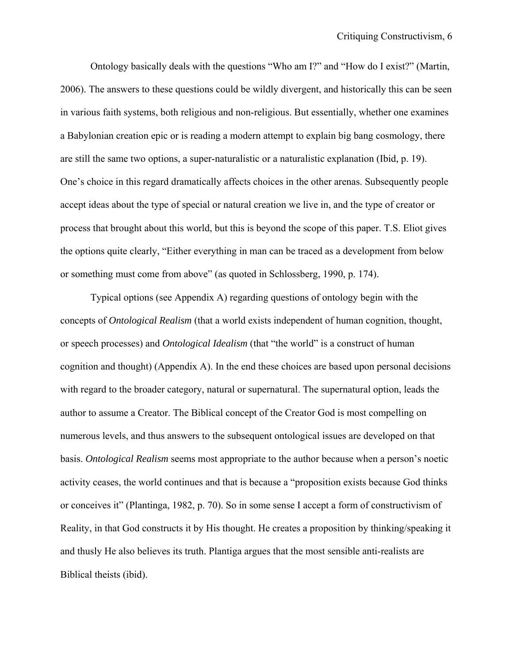Ontology basically deals with the questions "Who am I?" and "How do I exist?" (Martin, 2006). The answers to these questions could be wildly divergent, and historically this can be seen in various faith systems, both religious and non-religious. But essentially, whether one examines a Babylonian creation epic or is reading a modern attempt to explain big bang cosmology, there are still the same two options, a super-naturalistic or a naturalistic explanation (Ibid, p. 19). One's choice in this regard dramatically affects choices in the other arenas. Subsequently people accept ideas about the type of special or natural creation we live in, and the type of creator or process that brought about this world, but this is beyond the scope of this paper. T.S. Eliot gives the options quite clearly, "Either everything in man can be traced as a development from below or something must come from above" (as quoted in Schlossberg, 1990, p. 174).

 Typical options (see Appendix A) regarding questions of ontology begin with the concepts of *Ontological Realism* (that a world exists independent of human cognition, thought, or speech processes) and *Ontological Idealism* (that "the world" is a construct of human cognition and thought) (Appendix A). In the end these choices are based upon personal decisions with regard to the broader category, natural or supernatural. The supernatural option, leads the author to assume a Creator. The Biblical concept of the Creator God is most compelling on numerous levels, and thus answers to the subsequent ontological issues are developed on that basis. *Ontological Realism* seems most appropriate to the author because when a person's noetic activity ceases, the world continues and that is because a "proposition exists because God thinks or conceives it" (Plantinga, 1982, p. 70). So in some sense I accept a form of constructivism of Reality, in that God constructs it by His thought. He creates a proposition by thinking/speaking it and thusly He also believes its truth. Plantiga argues that the most sensible anti-realists are Biblical theists (ibid).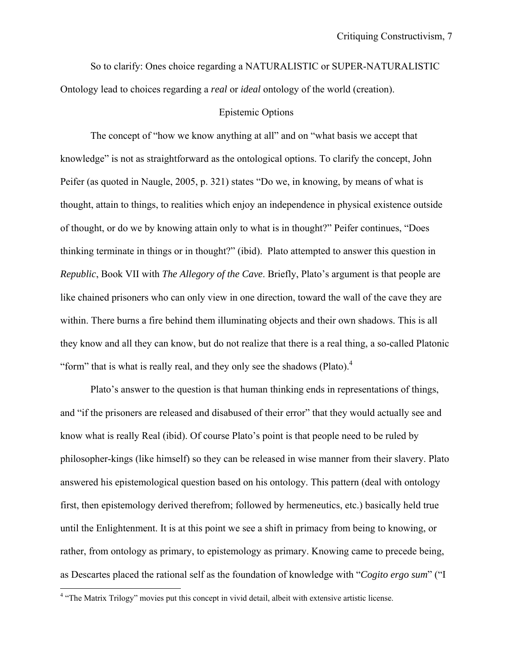So to clarify: Ones choice regarding a NATURALISTIC or SUPER-NATURALISTIC Ontology lead to choices regarding a *real* or *ideal* ontology of the world (creation).

#### Epistemic Options

 The concept of "how we know anything at all" and on "what basis we accept that knowledge" is not as straightforward as the ontological options. To clarify the concept, John Peifer (as quoted in Naugle, 2005, p. 321) states "Do we, in knowing, by means of what is thought, attain to things, to realities which enjoy an independence in physical existence outside of thought, or do we by knowing attain only to what is in thought?" Peifer continues, "Does thinking terminate in things or in thought?" (ibid). Plato attempted to answer this question in *Republic*, Book VII with *The Allegory of the Cave*. Briefly, Plato's argument is that people are like chained prisoners who can only view in one direction, toward the wall of the cave they are within. There burns a fire behind them illuminating objects and their own shadows. This is all they know and all they can know, but do not realize that there is a real thing, a so-called Platonic "form" that is what is really real, and they only see the shadows (Plato). $4$ 

 Plato's answer to the question is that human thinking ends in representations of things, and "if the prisoners are released and disabused of their error" that they would actually see and know what is really Real (ibid). Of course Plato's point is that people need to be ruled by philosopher-kings (like himself) so they can be released in wise manner from their slavery. Plato answered his epistemological question based on his ontology. This pattern (deal with ontology first, then epistemology derived therefrom; followed by hermeneutics, etc.) basically held true until the Enlightenment. It is at this point we see a shift in primacy from being to knowing, or rather, from ontology as primary, to epistemology as primary. Knowing came to precede being, as Descartes placed the rational self as the foundation of knowledge with "*Cogito ergo sum*" ("I

<u>.</u>

<sup>&</sup>lt;sup>4</sup> "The Matrix Trilogy" movies put this concept in vivid detail, albeit with extensive artistic license.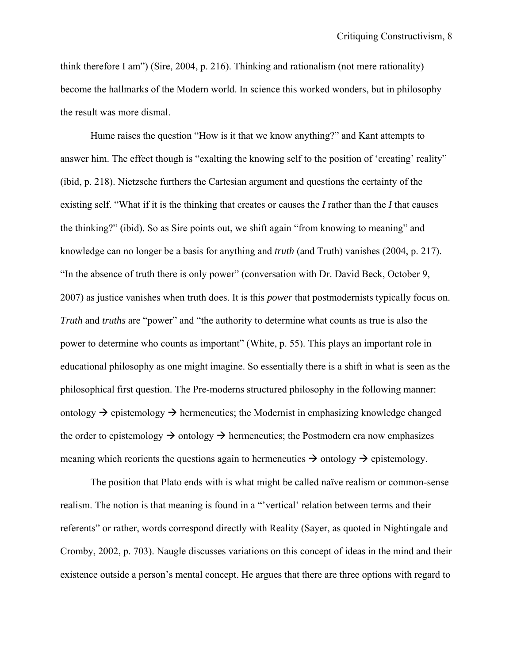think therefore I am") (Sire, 2004, p. 216). Thinking and rationalism (not mere rationality) become the hallmarks of the Modern world. In science this worked wonders, but in philosophy the result was more dismal.

 Hume raises the question "How is it that we know anything?" and Kant attempts to answer him. The effect though is "exalting the knowing self to the position of 'creating' reality" (ibid, p. 218). Nietzsche furthers the Cartesian argument and questions the certainty of the existing self. "What if it is the thinking that creates or causes the *I* rather than the *I* that causes the thinking?" (ibid). So as Sire points out, we shift again "from knowing to meaning" and knowledge can no longer be a basis for anything and *truth* (and Truth) vanishes (2004, p. 217). "In the absence of truth there is only power" (conversation with Dr. David Beck, October 9, 2007) as justice vanishes when truth does. It is this *power* that postmodernists typically focus on. *Truth* and *truths* are "power" and "the authority to determine what counts as true is also the power to determine who counts as important" (White, p. 55). This plays an important role in educational philosophy as one might imagine. So essentially there is a shift in what is seen as the philosophical first question. The Pre-moderns structured philosophy in the following manner: ontology  $\rightarrow$  epistemology  $\rightarrow$  hermeneutics; the Modernist in emphasizing knowledge changed the order to epistemology  $\rightarrow$  ontology  $\rightarrow$  hermeneutics; the Postmodern era now emphasizes meaning which reorients the questions again to hermeneutics  $\rightarrow$  ontology  $\rightarrow$  epistemology.

 The position that Plato ends with is what might be called naïve realism or common-sense realism. The notion is that meaning is found in a "'vertical' relation between terms and their referents" or rather, words correspond directly with Reality (Sayer, as quoted in Nightingale and Cromby, 2002, p. 703). Naugle discusses variations on this concept of ideas in the mind and their existence outside a person's mental concept. He argues that there are three options with regard to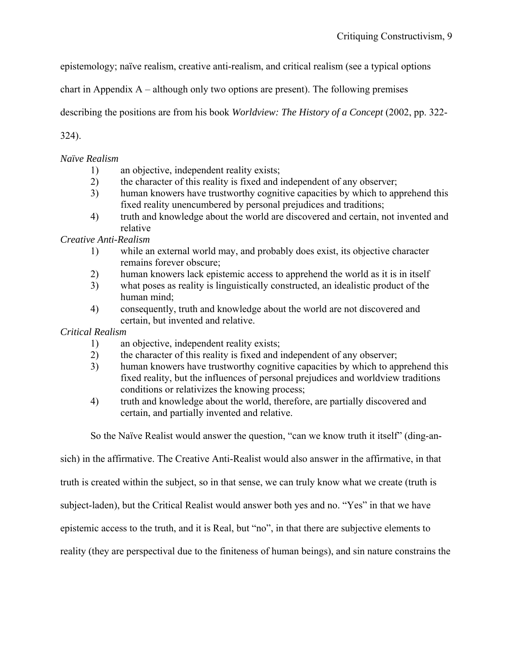epistemology; naïve realism, creative anti-realism, and critical realism (see a typical options

chart in Appendix A – although only two options are present). The following premises

describing the positions are from his book *Worldview: The History of a Concept* (2002, pp. 322-

324).

*Naïve Realism* 

- 1) an objective, independent reality exists;
- 2) the character of this reality is fixed and independent of any observer;
- 3) human knowers have trustworthy cognitive capacities by which to apprehend this fixed reality unencumbered by personal prejudices and traditions;
- 4) truth and knowledge about the world are discovered and certain, not invented and relative

*Creative Anti-Realism* 

- 1) while an external world may, and probably does exist, its objective character remains forever obscure;
- 2) human knowers lack epistemic access to apprehend the world as it is in itself
- 3) what poses as reality is linguistically constructed, an idealistic product of the human mind;
- 4) consequently, truth and knowledge about the world are not discovered and certain, but invented and relative.

### *Critical Realism*

- 1) an objective, independent reality exists;
- 2) the character of this reality is fixed and independent of any observer;
- 3) human knowers have trustworthy cognitive capacities by which to apprehend this fixed reality, but the influences of personal prejudices and worldview traditions conditions or relativizes the knowing process;
- 4) truth and knowledge about the world, therefore, are partially discovered and certain, and partially invented and relative.

So the Naïve Realist would answer the question, "can we know truth it itself" (ding-an-

sich) in the affirmative. The Creative Anti-Realist would also answer in the affirmative, in that

truth is created within the subject, so in that sense, we can truly know what we create (truth is

subject-laden), but the Critical Realist would answer both yes and no. "Yes" in that we have

epistemic access to the truth, and it is Real, but "no", in that there are subjective elements to

reality (they are perspectival due to the finiteness of human beings), and sin nature constrains the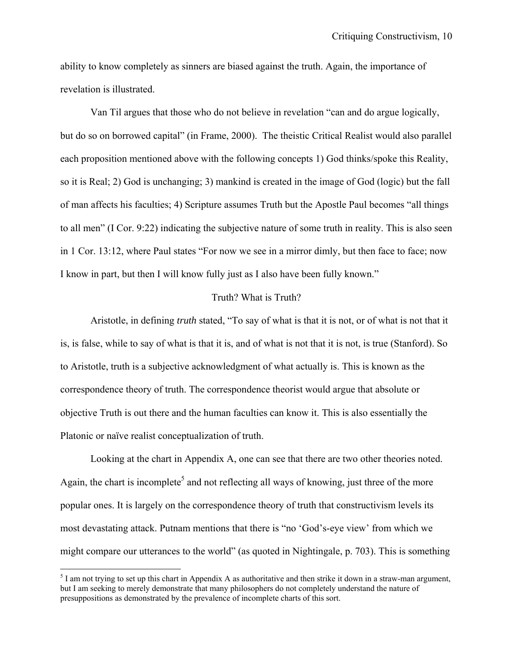ability to know completely as sinners are biased against the truth. Again, the importance of revelation is illustrated.

Van Til argues that those who do not believe in revelation "can and do argue logically, but do so on borrowed capital" (in Frame, 2000). The theistic Critical Realist would also parallel each proposition mentioned above with the following concepts 1) God thinks/spoke this Reality, so it is Real; 2) God is unchanging; 3) mankind is created in the image of God (logic) but the fall of man affects his faculties; 4) Scripture assumes Truth but the Apostle Paul becomes "all things to all men" (I Cor. 9:22) indicating the subjective nature of some truth in reality. This is also seen in 1 Cor. 13:12, where Paul states "For now we see in a mirror dimly, but then face to face; now I know in part, but then I will know fully just as I also have been fully known."

#### Truth? What is Truth?

Aristotle, in defining *truth* stated, "To say of what is that it is not, or of what is not that it is, is false, while to say of what is that it is, and of what is not that it is not, is true (Stanford). So to Aristotle, truth is a subjective acknowledgment of what actually is. This is known as the correspondence theory of truth. The correspondence theorist would argue that absolute or objective Truth is out there and the human faculties can know it. This is also essentially the Platonic or naïve realist conceptualization of truth.

 Looking at the chart in Appendix A, one can see that there are two other theories noted. Again, the chart is incomplete<sup>5</sup> and not reflecting all ways of knowing, just three of the more popular ones. It is largely on the correspondence theory of truth that constructivism levels its most devastating attack. Putnam mentions that there is "no 'God's-eye view' from which we might compare our utterances to the world" (as quoted in Nightingale, p. 703). This is something

 $\overline{a}$ 

 $<sup>5</sup>$  I am not trying to set up this chart in Appendix A as authoritative and then strike it down in a straw-man argument,</sup> but I am seeking to merely demonstrate that many philosophers do not completely understand the nature of presuppositions as demonstrated by the prevalence of incomplete charts of this sort.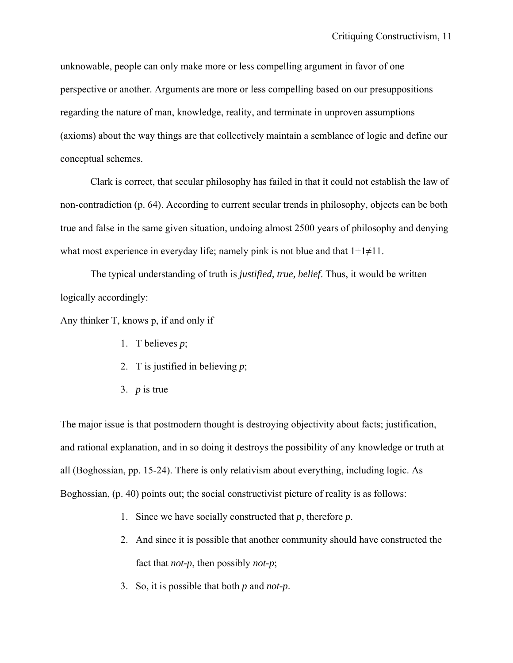unknowable, people can only make more or less compelling argument in favor of one perspective or another. Arguments are more or less compelling based on our presuppositions regarding the nature of man, knowledge, reality, and terminate in unproven assumptions (axioms) about the way things are that collectively maintain a semblance of logic and define our conceptual schemes.

 Clark is correct, that secular philosophy has failed in that it could not establish the law of non-contradiction (p. 64). According to current secular trends in philosophy, objects can be both true and false in the same given situation, undoing almost 2500 years of philosophy and denying what most experience in everyday life; namely pink is not blue and that  $1+1\neq 11$ .

 The typical understanding of truth is *justified, true, belief*. Thus, it would be written logically accordingly:

Any thinker T, knows p, if and only if

- 1. T believes *p*;
- 2. T is justified in believing *p*;
- 3. *p* is true

The major issue is that postmodern thought is destroying objectivity about facts; justification, and rational explanation, and in so doing it destroys the possibility of any knowledge or truth at all (Boghossian, pp. 15-24). There is only relativism about everything, including logic. As Boghossian, (p. 40) points out; the social constructivist picture of reality is as follows:

- 1. Since we have socially constructed that *p*, therefore *p*.
- 2. And since it is possible that another community should have constructed the fact that *not-p*, then possibly *not-p*;
- 3. So, it is possible that both *p* and *not-p*.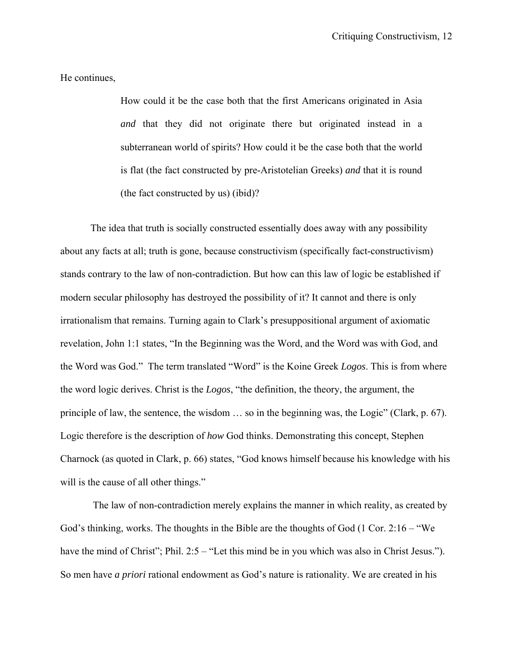He continues,

How could it be the case both that the first Americans originated in Asia *and* that they did not originate there but originated instead in a subterranean world of spirits? How could it be the case both that the world is flat (the fact constructed by pre-Aristotelian Greeks) *and* that it is round (the fact constructed by us) (ibid)?

The idea that truth is socially constructed essentially does away with any possibility about any facts at all; truth is gone, because constructivism (specifically fact-constructivism) stands contrary to the law of non-contradiction. But how can this law of logic be established if modern secular philosophy has destroyed the possibility of it? It cannot and there is only irrationalism that remains. Turning again to Clark's presuppositional argument of axiomatic revelation, John 1:1 states, "In the Beginning was the Word, and the Word was with God, and the Word was God." The term translated "Word" is the Koine Greek *Logos*. This is from where the word logic derives. Christ is the *Logos*, "the definition, the theory, the argument, the principle of law, the sentence, the wisdom … so in the beginning was, the Logic" (Clark, p. 67). Logic therefore is the description of *how* God thinks. Demonstrating this concept, Stephen Charnock (as quoted in Clark, p. 66) states, "God knows himself because his knowledge with his will is the cause of all other things."

 The law of non-contradiction merely explains the manner in which reality, as created by God's thinking, works. The thoughts in the Bible are the thoughts of God (1 Cor. 2:16 – "We have the mind of Christ"; Phil. 2:5 – "Let this mind be in you which was also in Christ Jesus."). So men have *a priori* rational endowment as God's nature is rationality. We are created in his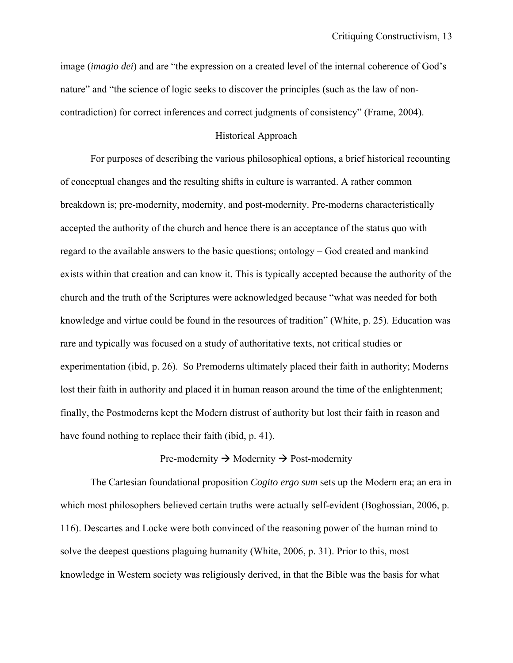image (*imagio dei*) and are "the expression on a created level of the internal coherence of God's nature" and "the science of logic seeks to discover the principles (such as the law of noncontradiction) for correct inferences and correct judgments of consistency" (Frame, 2004).

#### Historical Approach

 For purposes of describing the various philosophical options, a brief historical recounting of conceptual changes and the resulting shifts in culture is warranted. A rather common breakdown is; pre-modernity, modernity, and post-modernity. Pre-moderns characteristically accepted the authority of the church and hence there is an acceptance of the status quo with regard to the available answers to the basic questions; ontology – God created and mankind exists within that creation and can know it. This is typically accepted because the authority of the church and the truth of the Scriptures were acknowledged because "what was needed for both knowledge and virtue could be found in the resources of tradition" (White, p. 25). Education was rare and typically was focused on a study of authoritative texts, not critical studies or experimentation (ibid, p. 26). So Premoderns ultimately placed their faith in authority; Moderns lost their faith in authority and placed it in human reason around the time of the enlightenment; finally, the Postmoderns kept the Modern distrust of authority but lost their faith in reason and have found nothing to replace their faith (ibid, p. 41).

#### Pre-modernity  $\rightarrow$  Modernity  $\rightarrow$  Post-modernity

The Cartesian foundational proposition *Cogito ergo sum* sets up the Modern era; an era in which most philosophers believed certain truths were actually self-evident (Boghossian, 2006, p. 116). Descartes and Locke were both convinced of the reasoning power of the human mind to solve the deepest questions plaguing humanity (White, 2006, p. 31). Prior to this, most knowledge in Western society was religiously derived, in that the Bible was the basis for what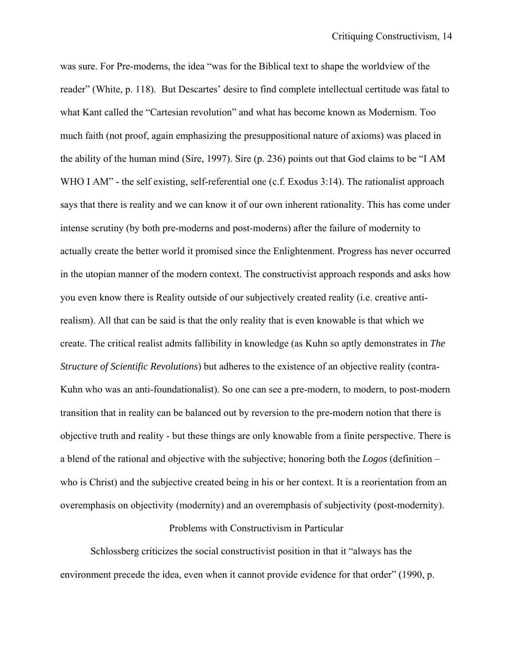was sure. For Pre-moderns, the idea "was for the Biblical text to shape the worldview of the reader" (White, p. 118). But Descartes' desire to find complete intellectual certitude was fatal to what Kant called the "Cartesian revolution" and what has become known as Modernism. Too much faith (not proof, again emphasizing the presuppositional nature of axioms) was placed in the ability of the human mind (Sire, 1997). Sire (p. 236) points out that God claims to be "I AM WHO I AM" - the self existing, self-referential one (c.f. Exodus 3:14). The rationalist approach says that there is reality and we can know it of our own inherent rationality. This has come under intense scrutiny (by both pre-moderns and post-moderns) after the failure of modernity to actually create the better world it promised since the Enlightenment. Progress has never occurred in the utopian manner of the modern context. The constructivist approach responds and asks how you even know there is Reality outside of our subjectively created reality (i.e. creative antirealism). All that can be said is that the only reality that is even knowable is that which we create. The critical realist admits fallibility in knowledge (as Kuhn so aptly demonstrates in *The Structure of Scientific Revolutions*) but adheres to the existence of an objective reality (contra-Kuhn who was an anti-foundationalist). So one can see a pre-modern, to modern, to post-modern transition that in reality can be balanced out by reversion to the pre-modern notion that there is objective truth and reality - but these things are only knowable from a finite perspective. There is a blend of the rational and objective with the subjective; honoring both the *Logos* (definition – who is Christ) and the subjective created being in his or her context. It is a reorientation from an overemphasis on objectivity (modernity) and an overemphasis of subjectivity (post-modernity).

#### Problems with Constructivism in Particular

 Schlossberg criticizes the social constructivist position in that it "always has the environment precede the idea, even when it cannot provide evidence for that order" (1990, p.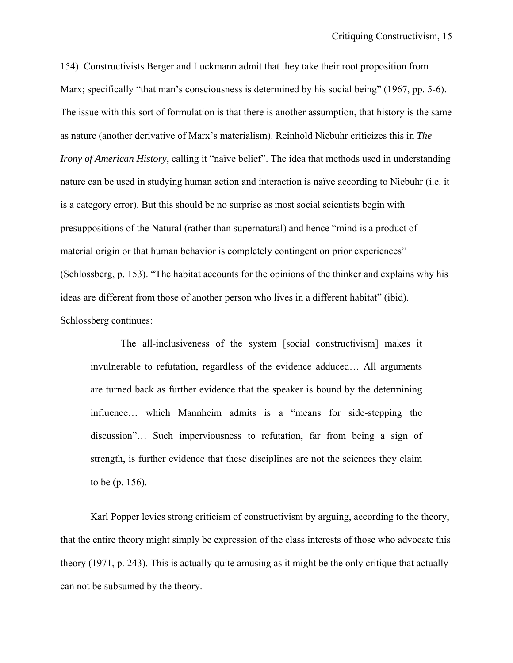154). Constructivists Berger and Luckmann admit that they take their root proposition from Marx; specifically "that man's consciousness is determined by his social being" (1967, pp. 5-6). The issue with this sort of formulation is that there is another assumption, that history is the same as nature (another derivative of Marx's materialism). Reinhold Niebuhr criticizes this in *The Irony of American History*, calling it "naïve belief". The idea that methods used in understanding nature can be used in studying human action and interaction is naïve according to Niebuhr (i.e. it is a category error). But this should be no surprise as most social scientists begin with presuppositions of the Natural (rather than supernatural) and hence "mind is a product of material origin or that human behavior is completely contingent on prior experiences" (Schlossberg, p. 153). "The habitat accounts for the opinions of the thinker and explains why his ideas are different from those of another person who lives in a different habitat" (ibid). Schlossberg continues:

The all-inclusiveness of the system [social constructivism] makes it invulnerable to refutation, regardless of the evidence adduced… All arguments are turned back as further evidence that the speaker is bound by the determining influence… which Mannheim admits is a "means for side-stepping the discussion"… Such imperviousness to refutation, far from being a sign of strength, is further evidence that these disciplines are not the sciences they claim to be (p. 156).

Karl Popper levies strong criticism of constructivism by arguing, according to the theory, that the entire theory might simply be expression of the class interests of those who advocate this theory (1971, p. 243). This is actually quite amusing as it might be the only critique that actually can not be subsumed by the theory.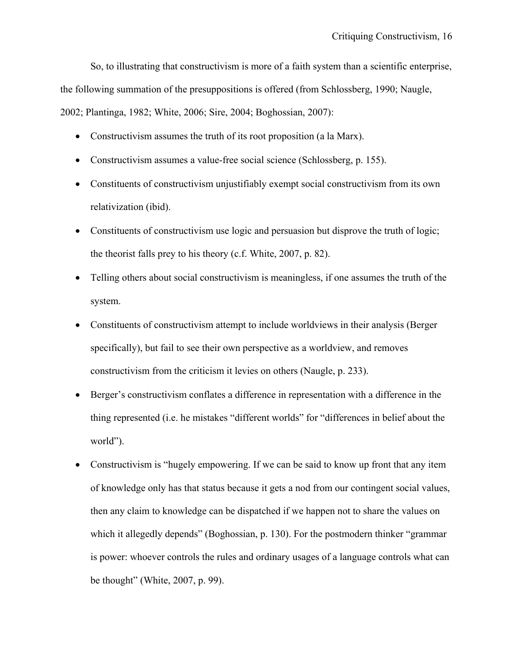So, to illustrating that constructivism is more of a faith system than a scientific enterprise, the following summation of the presuppositions is offered (from Schlossberg, 1990; Naugle, 2002; Plantinga, 1982; White, 2006; Sire, 2004; Boghossian, 2007):

- Constructivism assumes the truth of its root proposition (a la Marx).
- Constructivism assumes a value-free social science (Schlossberg, p. 155).
- Constituents of constructivism unjustifiably exempt social constructivism from its own relativization (ibid).
- Constituents of constructivism use logic and persuasion but disprove the truth of logic; the theorist falls prey to his theory (c.f. White, 2007, p. 82).
- Telling others about social constructivism is meaningless, if one assumes the truth of the system.
- Constituents of constructivism attempt to include worldviews in their analysis (Berger specifically), but fail to see their own perspective as a worldview, and removes constructivism from the criticism it levies on others (Naugle, p. 233).
- Berger's constructivism conflates a difference in representation with a difference in the thing represented (i.e. he mistakes "different worlds" for "differences in belief about the world").
- Constructivism is "hugely empowering. If we can be said to know up front that any item of knowledge only has that status because it gets a nod from our contingent social values, then any claim to knowledge can be dispatched if we happen not to share the values on which it allegedly depends" (Boghossian, p. 130). For the postmodern thinker "grammar is power: whoever controls the rules and ordinary usages of a language controls what can be thought" (White, 2007, p. 99).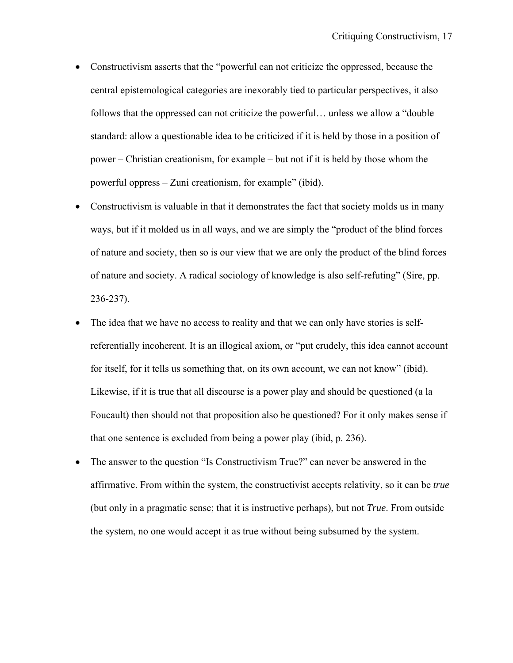- Constructivism asserts that the "powerful can not criticize the oppressed, because the central epistemological categories are inexorably tied to particular perspectives, it also follows that the oppressed can not criticize the powerful… unless we allow a "double standard: allow a questionable idea to be criticized if it is held by those in a position of power – Christian creationism, for example – but not if it is held by those whom the powerful oppress – Zuni creationism, for example" (ibid).
- Constructivism is valuable in that it demonstrates the fact that society molds us in many ways, but if it molded us in all ways, and we are simply the "product of the blind forces of nature and society, then so is our view that we are only the product of the blind forces of nature and society. A radical sociology of knowledge is also self-refuting" (Sire, pp. 236-237).
- The idea that we have no access to reality and that we can only have stories is selfreferentially incoherent. It is an illogical axiom, or "put crudely, this idea cannot account for itself, for it tells us something that, on its own account, we can not know" (ibid). Likewise, if it is true that all discourse is a power play and should be questioned (a la Foucault) then should not that proposition also be questioned? For it only makes sense if that one sentence is excluded from being a power play (ibid, p. 236).
- The answer to the question "Is Constructivism True?" can never be answered in the affirmative. From within the system, the constructivist accepts relativity, so it can be *true*  (but only in a pragmatic sense; that it is instructive perhaps), but not *True*. From outside the system, no one would accept it as true without being subsumed by the system.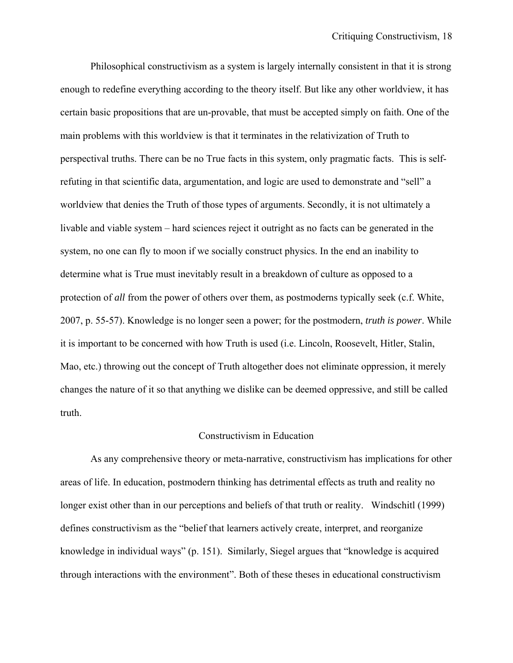Philosophical constructivism as a system is largely internally consistent in that it is strong enough to redefine everything according to the theory itself. But like any other worldview, it has certain basic propositions that are un-provable, that must be accepted simply on faith. One of the main problems with this worldview is that it terminates in the relativization of Truth to perspectival truths. There can be no True facts in this system, only pragmatic facts. This is selfrefuting in that scientific data, argumentation, and logic are used to demonstrate and "sell" a worldview that denies the Truth of those types of arguments. Secondly, it is not ultimately a livable and viable system – hard sciences reject it outright as no facts can be generated in the system, no one can fly to moon if we socially construct physics. In the end an inability to determine what is True must inevitably result in a breakdown of culture as opposed to a protection of *all* from the power of others over them, as postmoderns typically seek (c.f. White, 2007, p. 55-57). Knowledge is no longer seen a power; for the postmodern, *truth is power*. While it is important to be concerned with how Truth is used (i.e. Lincoln, Roosevelt, Hitler, Stalin, Mao, etc.) throwing out the concept of Truth altogether does not eliminate oppression, it merely changes the nature of it so that anything we dislike can be deemed oppressive, and still be called truth.

#### Constructivism in Education

 As any comprehensive theory or meta-narrative, constructivism has implications for other areas of life. In education, postmodern thinking has detrimental effects as truth and reality no longer exist other than in our perceptions and beliefs of that truth or reality. Windschitl (1999) defines constructivism as the "belief that learners actively create, interpret, and reorganize knowledge in individual ways" (p. 151). Similarly, Siegel argues that "knowledge is acquired through interactions with the environment". Both of these theses in educational constructivism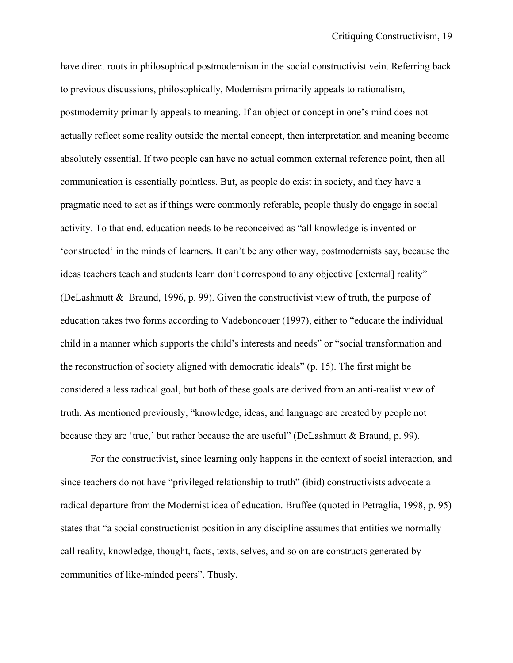have direct roots in philosophical postmodernism in the social constructivist vein. Referring back to previous discussions, philosophically, Modernism primarily appeals to rationalism, postmodernity primarily appeals to meaning. If an object or concept in one's mind does not actually reflect some reality outside the mental concept, then interpretation and meaning become absolutely essential. If two people can have no actual common external reference point, then all communication is essentially pointless. But, as people do exist in society, and they have a pragmatic need to act as if things were commonly referable, people thusly do engage in social activity. To that end, education needs to be reconceived as "all knowledge is invented or 'constructed' in the minds of learners. It can't be any other way, postmodernists say, because the ideas teachers teach and students learn don't correspond to any objective [external] reality" (DeLashmutt & Braund, 1996, p. 99). Given the constructivist view of truth, the purpose of education takes two forms according to Vadeboncouer (1997), either to "educate the individual child in a manner which supports the child's interests and needs" or "social transformation and the reconstruction of society aligned with democratic ideals" (p. 15). The first might be considered a less radical goal, but both of these goals are derived from an anti-realist view of truth. As mentioned previously, "knowledge, ideas, and language are created by people not because they are 'true,' but rather because the are useful" (DeLashmutt & Braund, p. 99).

 For the constructivist, since learning only happens in the context of social interaction, and since teachers do not have "privileged relationship to truth" (ibid) constructivists advocate a radical departure from the Modernist idea of education. Bruffee (quoted in Petraglia, 1998, p. 95) states that "a social constructionist position in any discipline assumes that entities we normally call reality, knowledge, thought, facts, texts, selves, and so on are constructs generated by communities of like-minded peers". Thusly,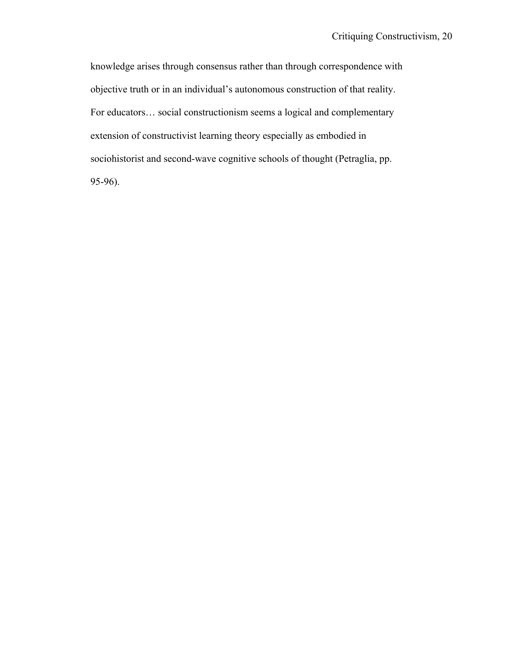knowledge arises through consensus rather than through correspondence with objective truth or in an individual's autonomous construction of that reality. For educators… social constructionism seems a logical and complementary extension of constructivist learning theory especially as embodied in sociohistorist and second-wave cognitive schools of thought (Petraglia, pp. 95-96).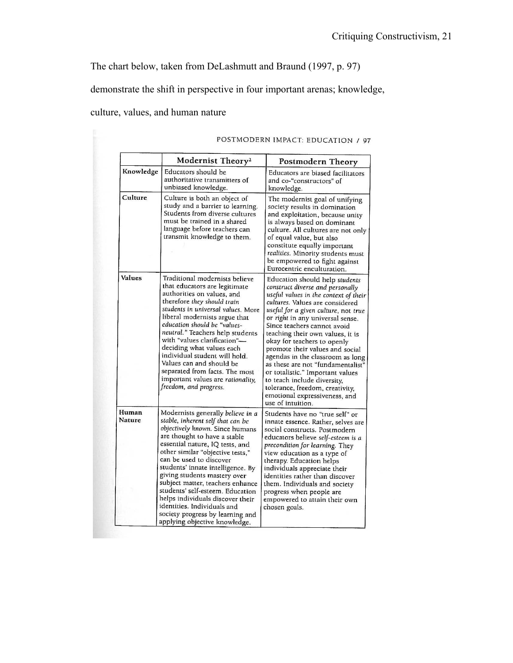The chart below, taken from DeLashmutt and Braund (1997, p. 97)

demonstrate the shift in perspective in four important arenas; knowledge,

culture, values, and human nature

|                        | Modernist Theory <sup>2</sup>                                                                                                                                                                                                                                                                                                                                                                                                                                                                                                    | Postmodern Theory<br>Educators are biased facilitators<br>and co-"constructors" of<br>knowledge.                                                                                                                                                                                                                                                                                                                                                                                                                                                                                                     |  |  |
|------------------------|----------------------------------------------------------------------------------------------------------------------------------------------------------------------------------------------------------------------------------------------------------------------------------------------------------------------------------------------------------------------------------------------------------------------------------------------------------------------------------------------------------------------------------|------------------------------------------------------------------------------------------------------------------------------------------------------------------------------------------------------------------------------------------------------------------------------------------------------------------------------------------------------------------------------------------------------------------------------------------------------------------------------------------------------------------------------------------------------------------------------------------------------|--|--|
| Knowledge              | Educators should be<br>authoritative transmitters of<br>unbiased knowledge.                                                                                                                                                                                                                                                                                                                                                                                                                                                      |                                                                                                                                                                                                                                                                                                                                                                                                                                                                                                                                                                                                      |  |  |
| Culture                | Culture is both an object of<br>study and a barrier to learning.<br>Students from diverse cultures<br>must be trained in a shared<br>language before teachers can<br>transmit knowledge to them.                                                                                                                                                                                                                                                                                                                                 | The modernist goal of unifying<br>society results in domination<br>and exploitation, because unity<br>is always based on dominant<br>culture. All cultures are not only<br>of equal value, but also<br>constitute equally important<br>realities. Minority students must<br>be empowered to fight against<br>Eurocentric enculturation.                                                                                                                                                                                                                                                              |  |  |
| <b>Values</b>          | Traditional modernists believe<br>that educators are legitimate<br>authorities on values, and<br>therefore they should train<br>students in universal values. More<br>liberal modernists argue that<br>education should be "values-<br>neutral." Teachers help students<br>with "values clarification"-<br>deciding what values each<br>individual student will hold.<br>Values can and should be<br>separated from facts. The most<br>important values are rationality,<br>freedom, and progress.                               | Education should help students<br>construct diverse and personally<br>useful values in the context of their<br>cultures. Values are considered<br>useful for a given culture, not true<br>or right in any universal sense.<br>Since teachers cannot avoid<br>teaching their own values, it is<br>okay for teachers to openly<br>promote their values and social<br>agendas in the classroom as long<br>as these are not "fundamentalist"<br>or totalistic." Important values<br>to teach include diversity,<br>tolerance, freedom, creativity,<br>emotional expressiveness, and<br>use of intuition. |  |  |
| Human<br><b>Nature</b> | Modernists generally believe in a<br>stable, inherent self that can be<br>objectively known. Since humans<br>are thought to have a stable<br>essential nature, IQ tests, and<br>other similar "objective tests."<br>can be used to discover<br>students' innate intelligence. By<br>giving students mastery over<br>subject matter, teachers enhance<br>students' self-esteem. Education<br>helps individuals discover their<br>identities. Individuals and<br>society progress by learning and<br>applying objective knowledge. | Students have no "true self" or<br>innate essence. Rather, selves are<br>social constructs. Postmodern<br>educators believe self-esteem is a<br>precondition for learning. They<br>view education as a type of<br>therapy. Education helps<br>individuals appreciate their<br>identities rather than discover<br>them. Individuals and society<br>progress when people are<br>empowered to attain their own<br>chosen goals.                                                                                                                                                                         |  |  |

### POSTMODERN IMPACT: EDUCATION / 97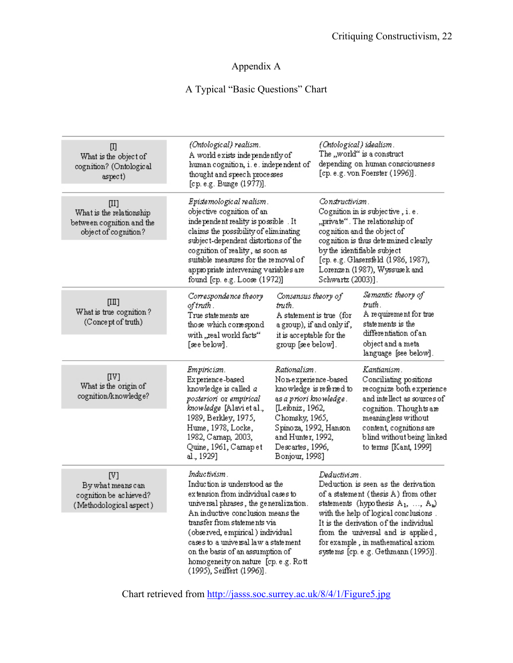## Appendix A

## A Typical "Basic Questions" Chart

| 吅<br>What is the object of<br>cognition? (Ontological<br>aspect)                        | (Ontological) realism.<br>A world exists independently of<br>human cognition, i. e. independent of<br>thought and speech processes<br>[cp. e.g. Bunge (1977)].                                                                                                                                                                                                                            |                                                                                                                                                                  | (Ontological) idealism.<br>The "world" is a construct<br>depending on human consciousness<br>[cp. e.g. von Foerster (1996)].                                                                                                                                                                                                                      |                                                                                                                                                                                                                                       |
|-----------------------------------------------------------------------------------------|-------------------------------------------------------------------------------------------------------------------------------------------------------------------------------------------------------------------------------------------------------------------------------------------------------------------------------------------------------------------------------------------|------------------------------------------------------------------------------------------------------------------------------------------------------------------|---------------------------------------------------------------------------------------------------------------------------------------------------------------------------------------------------------------------------------------------------------------------------------------------------------------------------------------------------|---------------------------------------------------------------------------------------------------------------------------------------------------------------------------------------------------------------------------------------|
| $[II]$<br>What is the relationship<br>between cognition and the<br>object of cognition? | Epistemological realism .<br>objective cognition of an<br>independent reality is possible. It<br>claims the possibility of eliminating<br>subject-dependent distortions of the<br>cognition of reality, as soon as<br>suitable measures for the removal of<br>appropriate intervening variables are<br>found [cp. e.g. Loose (1972)]                                                      |                                                                                                                                                                  | Constructivism.<br>Cognition in is subjective, i.e.<br>"private". The relationship of<br>cognition and the object of<br>cognition is thus determined clearly<br>by the identifiable subject<br>[cp. e.g. Glasersfeld (1986, 1987),<br>Lorenzen (1987), Wyssusek and<br>Schwartz (2003)].                                                          |                                                                                                                                                                                                                                       |
| $[\mathbb{II}]$<br>What is true cognition?<br>(Concept of truth)                        | Correspondence theory<br>of truth .<br>True statements are<br>those which conespond<br>with "real world facts"<br>[see below].                                                                                                                                                                                                                                                            | Consensus theory of<br>truth.<br>A statement is true (for<br>a group), if and only if ,<br>it is acceptable for the<br>group [see below].                        |                                                                                                                                                                                                                                                                                                                                                   | Semantic theory of<br>truth.<br>A requirement for true<br>statements is the<br>differentiation of an<br>object and a meta<br>language [see below].                                                                                    |
| [V]<br>What is the origin of<br>cognition/knowledge?                                    | Empiricism.<br>Ex perience-based<br>knowledge is called <i>a</i><br>posteriori or empirical<br><i>knowledge</i> [Alavi et al.,<br>1989, Berkley, 1975,<br>Hume, 1978, Locke,<br>1982, Camap, 2003,<br>Quine, 1961, Carnapet<br>al., 1929]                                                                                                                                                 | Rationalism .<br>Non-experience-based<br>as a priori knowledge .<br>[Leibniz, 1962,<br>Chomsky, 1965,<br>and Hunter, 1992,<br>Descartes, 1996,<br>Bonjour, 1998] | knowledge is referred to<br>Spinoza, 1992, Hanson                                                                                                                                                                                                                                                                                                 | Kantianism.<br>Conciliating positions<br>recognize both experience<br>and intellect as sources of<br>cognition. Thoughts are<br>meaningless without<br>content, cognitions are<br>blind without being linked<br>to terms [Kant, 1999] |
| [V]<br>By what means can<br>cognition be achieved?<br>(Methodological aspect)           | Inductivism.<br>Induction is understood as the<br>extension from individual cases to<br>universal phrases, the generalization.<br>An inductive conclusion means the<br>transfer from statements via<br>(observed, empirical ) individual<br>cases to a universal law a statement<br>on the basis of an assumption of<br>homogeneity on nature [cp. e.g. Rott<br>(1995), Seiffert (1996)]. |                                                                                                                                                                  | Deductivism .<br>Deduction is seen as the derivation<br>of a statement (thesis A) from other<br>statements (hypothesis $A_1, \ldots, A_n$ )<br>with the help of logical conclusions.<br>It is the derivation of the individual<br>from the universal and is applied,<br>for example, in mathematical axiom<br>systems [cp. e.g. Gethmann (1995)]. |                                                                                                                                                                                                                                       |

Chart retrieved from http://jasss.soc.surrey.ac.uk/8/4/1/Figure5.jpg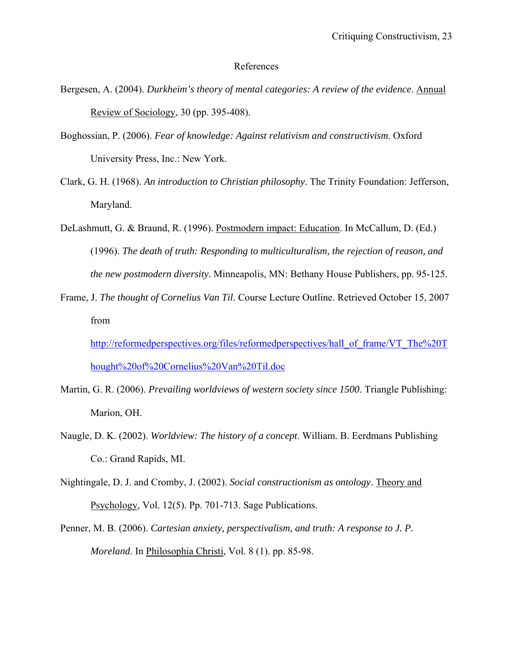#### References

- Bergesen, A. (2004). *Durkheim's theory of mental categories: A review of the evidence*. Annual Review of Sociology, 30 (pp. 395-408).
- Boghossian, P. (2006). *Fear of knowledge: Against relativism and constructivism*. Oxford University Press, Inc.: New York.
- Clark, G. H. (1968). *An introduction to Christian philosophy*. The Trinity Foundation: Jefferson, Maryland.
- DeLashmutt, G. & Braund, R. (1996). Postmodern impact: Education. In McCallum, D. (Ed.) (1996). *The death of truth: Responding to multiculturalism, the rejection of reason, and the new postmodern diversity*. Minneapolis, MN: Bethany House Publishers, pp. 95-125.
- Frame, J. *The thought of Cornelius Van Til*. Course Lecture Outline. Retrieved October 15, 2007 from

http://reformedperspectives.org/files/reformedperspectives/hall\_of\_frame/VT\_The%20T\_ hought%20of%20Cornelius%20Van%20Til.doc

- Martin, G. R. (2006). *Prevailing worldviews of western society since 1500*. Triangle Publishing: Marion, OH.
- Naugle, D. K. (2002). *Worldview: The history of a concept*. William. B. Eerdmans Publishing Co.: Grand Rapids, MI.
- Nightingale, D. J. and Cromby, J. (2002). *Social constructionism as ontology*. Theory and Psychology, Vol. 12(5). Pp. 701-713. Sage Publications.
- Penner, M. B. (2006). *Cartesian anxiety, perspectivalism, and truth: A response to J. P. Moreland*. In Philosophia Christi, Vol. 8 (1). pp. 85-98.